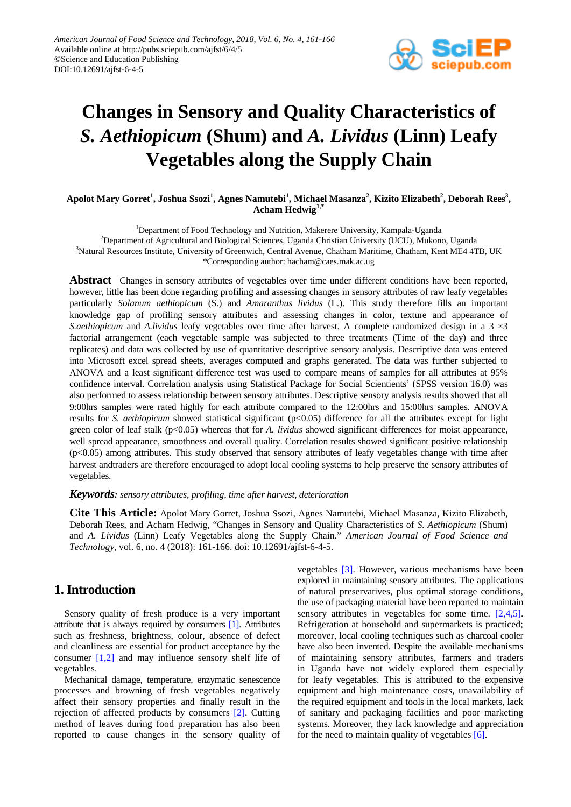

# **Changes in Sensory and Quality Characteristics of**  *S. Aethiopicum* **(Shum) and** *A. Lividus* **(Linn) Leafy Vegetables along the Supply Chain**

## $\Lambda$ polot Mary Gorret<sup>1</sup>, Joshua Ssozi<sup>1</sup>, Agnes Namutebi<sup>1</sup>, Michael Masanza<sup>2</sup>, Kizito Elizabeth<sup>2</sup>, Deborah Rees<sup>3</sup>, **Acham Hedwig1,\***

<sup>1</sup>Department of Food Technology and Nutrition, Makerere University, Kampala-Uganda 2 Department of Agricultural and Biological Sciences, Uganda Christian University (UCU), Mukono, Uganda <sup>3</sup>Natural Resources Institute, University of Greenwich, Central Avenue, Chatham Maritime, Chatham, Kent ME4 4TB, UK \*Corresponding author: hacham@caes.mak.ac.ug

**Abstract** Changes in sensory attributes of vegetables over time under different conditions have been reported, however, little has been done regarding profiling and assessing changes in sensory attributes of raw leafy vegetables particularly *Solanum aethiopicum* (S.) and *Amaranthus lividus* (L.). This study therefore fills an important knowledge gap of profiling sensory attributes and assessing changes in color, texture and appearance of *S.aethiopicum* and *A.lividus* leafy vegetables over time after harvest. A complete randomized design in a 3 ×3 factorial arrangement (each vegetable sample was subjected to three treatments (Time of the day) and three replicates) and data was collected by use of quantitative descriptive sensory analysis. Descriptive data was entered into Microsoft excel spread sheets, averages computed and graphs generated. The data was further subjected to ANOVA and a least significant difference test was used to compare means of samples for all attributes at 95% confidence interval. Correlation analysis using Statistical Package for Social Scientients' (SPSS version 16.0) was also performed to assess relationship between sensory attributes. Descriptive sensory analysis results showed that all 9:00hrs samples were rated highly for each attribute compared to the 12:00hrs and 15:00hrs samples. ANOVA results for *S. aethiopicum* showed statistical significant (p<0.05) difference for all the attributes except for light green color of leaf stalk (p<0.05) whereas that for *A. lividus* showed significant differences for moist appearance, well spread appearance, smoothness and overall quality. Correlation results showed significant positive relationship (p<0.05) among attributes. This study observed that sensory attributes of leafy vegetables change with time after harvest andtraders are therefore encouraged to adopt local cooling systems to help preserve the sensory attributes of vegetables.

## *Keywords: sensory attributes, profiling, time after harvest, deterioration*

**Cite This Article:** Apolot Mary Gorret, Joshua Ssozi, Agnes Namutebi, Michael Masanza, Kizito Elizabeth, Deborah Rees, and Acham Hedwig, "Changes in Sensory and Quality Characteristics of *S. Aethiopicum* (Shum) and *A. Lividus* (Linn) Leafy Vegetables along the Supply Chain." *American Journal of Food Science and Technology*, vol. 6, no. 4 (2018): 161-166. doi: 10.12691/ajfst-6-4-5.

# **1. Introduction**

Sensory quality of fresh produce is a very important attribute that is always required by consumers [\[1\].](#page-4-0) Attributes such as freshness, brightness, colour, absence of defect and cleanliness are essential for product acceptance by the consumer [\[1,2\]](#page-4-0) and may influence sensory shelf life of vegetables.

Mechanical damage, temperature, enzymatic senescence processes and browning of fresh vegetables negatively affect their sensory properties and finally result in the rejection of affected products by consumers [\[2\].](#page-4-1) Cutting method of leaves during food preparation has also been reported to cause changes in the sensory quality of vegetables [\[3\].](#page-4-2) However, various mechanisms have been explored in maintaining sensory attributes. The applications of natural preservatives, plus optimal storage conditions, the use of packaging material have been reported to maintain sensory attributes in vegetables for some time. [\[2,4,5\].](#page-4-1) Refrigeration at household and supermarkets is practiced; moreover, local cooling techniques such as charcoal cooler have also been invented. Despite the available mechanisms of maintaining sensory attributes, farmers and traders in Uganda have not widely explored them especially for leafy vegetables. This is attributed to the expensive equipment and high maintenance costs, unavailability of the required equipment and tools in the local markets, lack of sanitary and packaging facilities and poor marketing systems. Moreover, they lack knowledge and appreciation for the need to maintain quality of vegetables  $[6]$ .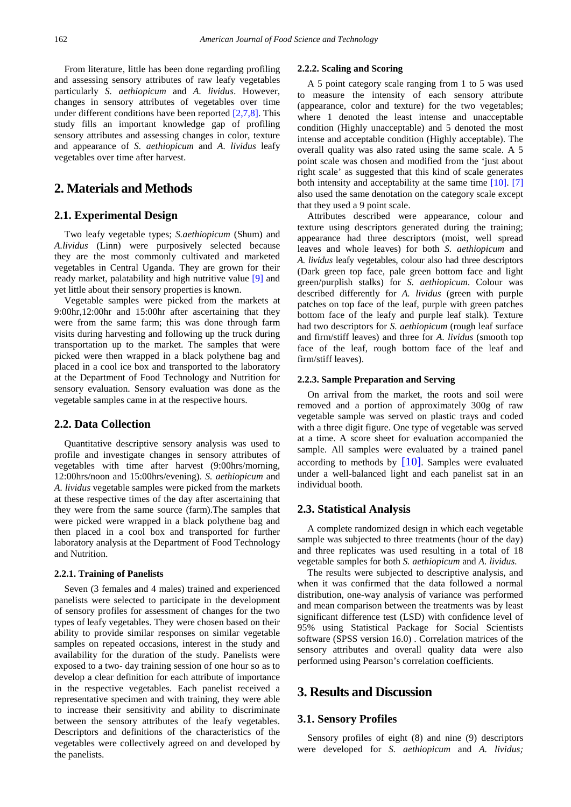From literature, little has been done regarding profiling and assessing sensory attributes of raw leafy vegetables particularly *S. aethiopicum* and *A. lividus*. However, changes in sensory attributes of vegetables over time under different conditions have been reported [\[2,7,8\].](#page-4-1) This study fills an important knowledge gap of profiling sensory attributes and assessing changes in color, texture and appearance of *S. aethiopicum* and *A. lividus* leafy vegetables over time after harvest.

# **2. Materials and Methods**

## **2.1. Experimental Design**

Two leafy vegetable types; *S.aethiopicum* (Shum) and *A.lividus* (Linn) were purposively selected because they are the most commonly cultivated and marketed vegetables in Central Uganda. They are grown for their ready market, palatability and high nutritive value [\[9\]](#page-4-4) and yet little about their sensory properties is known.

Vegetable samples were picked from the markets at 9:00hr,12:00hr and 15:00hr after ascertaining that they were from the same farm; this was done through farm visits during harvesting and following up the truck during transportation up to the market. The samples that were picked were then wrapped in a black polythene bag and placed in a cool ice box and transported to the laboratory at the Department of Food Technology and Nutrition for sensory evaluation. Sensory evaluation was done as the vegetable samples came in at the respective hours.

### **2.2. Data Collection**

Quantitative descriptive sensory analysis was used to profile and investigate changes in sensory attributes of vegetables with time after harvest (9:00hrs/morning, 12:00hrs/noon and 15:00hrs/evening). *S. aethiopicum* and *A. lividus* vegetable samples were picked from the markets at these respective times of the day after ascertaining that they were from the same source (farm).The samples that were picked were wrapped in a black polythene bag and then placed in a cool box and transported for further laboratory analysis at the Department of Food Technology and Nutrition.

#### **2.2.1. Training of Panelists**

Seven (3 females and 4 males) trained and experienced panelists were selected to participate in the development of sensory profiles for assessment of changes for the two types of leafy vegetables. They were chosen based on their ability to provide similar responses on similar vegetable samples on repeated occasions, interest in the study and availability for the duration of the study. Panelists were exposed to a two- day training session of one hour so as to develop a clear definition for each attribute of importance in the respective vegetables. Each panelist received a representative specimen and with training, they were able to increase their sensitivity and ability to discriminate between the sensory attributes of the leafy vegetables. Descriptors and definitions of the characteristics of the vegetables were collectively agreed on and developed by the panelists.

#### **2.2.2. Scaling and Scoring**

A 5 point category scale ranging from 1 to 5 was used to measure the intensity of each sensory attribute (appearance, color and texture) for the two vegetables; where 1 denoted the least intense and unacceptable condition (Highly unacceptable) and 5 denoted the most intense and acceptable condition (Highly acceptable). The overall quality was also rated using the same scale. A 5 point scale was chosen and modified from the 'just about right scale' as suggested that this kind of scale generates both intensity and acceptability at the same time [\[10\].](#page-4-5) [\[7\]](#page-4-6) also used the same denotation on the category scale except that they used a 9 point scale.

Attributes described were appearance, colour and texture using descriptors generated during the training; appearance had three descriptors (moist, well spread leaves and whole leaves) for both *S. aethiopicum* and *A. lividus* leafy vegetables, colour also had three descriptors (Dark green top face, pale green bottom face and light green/purplish stalks) for *S. aethiopicum*. Colour was described differently for *A. lividus* (green with purple patches on top face of the leaf, purple with green patches bottom face of the leafy and purple leaf stalk)*.* Texture had two descriptors for *S. aethiopicum* (rough leaf surface and firm/stiff leaves) and three for *A. lividus* (smooth top face of the leaf, rough bottom face of the leaf and firm/stiff leaves).

## **2.2.3. Sample Preparation and Serving**

On arrival from the market, the roots and soil were removed and a portion of approximately 300g of raw vegetable sample was served on plastic trays and coded with a three digit figure. One type of vegetable was served at a time. A score sheet for evaluation accompanied the sample. All samples were evaluated by a trained panel according to methods by  $[10]$ . Samples were evaluated under a well-balanced light and each panelist sat in an individual booth.

## **2.3. Statistical Analysis**

A complete randomized design in which each vegetable sample was subjected to three treatments (hour of the day) and three replicates was used resulting in a total of 18 vegetable samples for both *S. aethiopicum* and *A. lividus.*

The results were subjected to descriptive analysis, and when it was confirmed that the data followed a normal distribution, one-way analysis of variance was performed and mean comparison between the treatments was by least significant difference test (LSD) with confidence level of 95% using Statistical Package for Social Scientists software (SPSS version 16.0) . Correlation matrices of the sensory attributes and overall quality data were also performed using Pearson's correlation coefficients.

## **3. Results and Discussion**

## **3.1. Sensory Profiles**

Sensory profiles of eight (8) and nine (9) descriptors were developed for *S. aethiopicum* and *A. lividus;*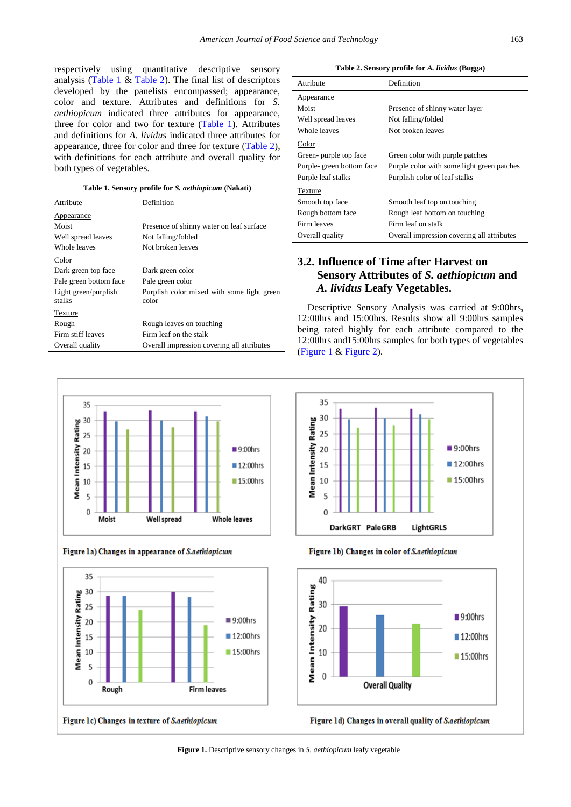respectively using quantitative descriptive sensory analysis [\(Table 1](#page-2-0)  $&$  [Table 2\)](#page-2-1). The final list of descriptors developed by the panelists encompassed; appearance, color and texture. Attributes and definitions for *S. aethiopicum* indicated three attributes for appearance, three for color and two for texture [\(Table 1\)](#page-2-0). Attributes and definitions for *A. lividus* indicated three attributes for appearance, three for color and three for texture [\(Table 2\)](#page-2-1), with definitions for each attribute and overall quality for both types of vegetables.

**Table 1. Sensory profile for** *S. aethiopicum* **(Nakati)**

<span id="page-2-0"></span>

| Attribute                      | Definition                                          |
|--------------------------------|-----------------------------------------------------|
| Appearance                     |                                                     |
| Moist                          | Presence of shinny water on leaf surface            |
| Well spread leaves             | Not falling/folded                                  |
| Whole leaves                   | Not broken leaves                                   |
| Color                          |                                                     |
| Dark green top face            | Dark green color                                    |
| Pale green bottom face         | Pale green color                                    |
| Light green/purplish<br>stalks | Purplish color mixed with some light green<br>color |
| Texture                        |                                                     |
| Rough                          | Rough leaves on touching                            |
| Firm stiff leaves              | Firm leaf on the stalk                              |
| Overall quality                | Overall impression covering all attributes          |

**Table 2. Sensory profile for** *A. lividus* **(Bugga)**

<span id="page-2-1"></span>

| Attribute                | Definition                                 |
|--------------------------|--------------------------------------------|
| Appearance               |                                            |
| Moist                    | Presence of shinny water layer             |
| Well spread leaves       | Not falling/folded                         |
| Whole leaves             | Not broken leaves                          |
| Color                    |                                            |
| Green- purple top face   | Green color with purple patches            |
| Purple-green bottom face | Purple color with some light green patches |
| Purple leaf stalks       | Purplish color of leaf stalks              |
| Texture                  |                                            |
| Smooth top face          | Smooth leaf top on touching                |
| Rough bottom face        | Rough leaf bottom on touching              |
| Firm leaves              | Firm leaf on stalk                         |
| Overall quality          | Overall impression covering all attributes |

# **3.2. Influence of Time after Harvest on Sensory Attributes of** *S. aethiopicum* **and**  *A. lividus* **Leafy Vegetables.**

Descriptive Sensory Analysis was carried at 9:00hrs, 12:00hrs and 15:00hrs. Results show all 9:00hrs samples being rated highly for each attribute compared to the 12:00hrs and15:00hrs samples for both types of vegetables [\(Figure 1](#page-2-2) & [Figure 2\)](#page-3-0).

 $\blacksquare$  9:00hrs

■ 12:00hrs

■ 15:00hrs

LightGRLS

<span id="page-2-2"></span>

Figure 1a) Changes in appearance of S.aethiopicum





Figure 1b) Changes in color of S.aethiopicum

DarkGRT PaleGRB

35

30

25

20

15

10

5

 $\Omega$ 

**Mean Intensity Rating** 



Figure 1d) Changes in overall quality of S.aethiopicum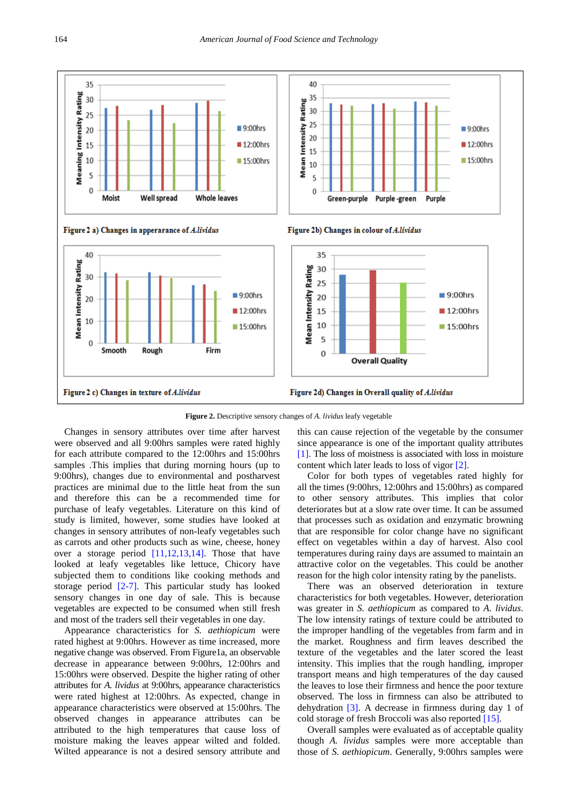<span id="page-3-0"></span>

**Figure 2.** Descriptive sensory changes of *A. lividus* leafy vegetable

Changes in sensory attributes over time after harvest were observed and all 9:00hrs samples were rated highly for each attribute compared to the 12:00hrs and 15:00hrs samples .This implies that during morning hours (up to 9:00hrs), changes due to environmental and postharvest practices are minimal due to the little heat from the sun and therefore this can be a recommended time for purchase of leafy vegetables. Literature on this kind of study is limited, however, some studies have looked at changes in sensory attributes of non-leafy vegetables such as carrots and other products such as wine, cheese, honey over a storage period [\[11,12,13,14\].](#page-4-7) Those that have looked at leafy vegetables like lettuce, Chicory have subjected them to conditions like cooking methods and storage period [\[2-7\].](#page-4-1) This particular study has looked sensory changes in one day of sale. This is because vegetables are expected to be consumed when still fresh and most of the traders sell their vegetables in one day.

Appearance characteristics for *S. aethiopicum* were rated highest at 9:00hrs. However as time increased, more negative change was observed. From Figure1a, an observable decrease in appearance between 9:00hrs, 12:00hrs and 15:00hrs were observed. Despite the higher rating of other attributes for *A. lividus* at 9:00hrs, appearance characteristics were rated highest at 12:00hrs. As expected, change in appearance characteristics were observed at 15:00hrs. The observed changes in appearance attributes can be attributed to the high temperatures that cause loss of moisture making the leaves appear wilted and folded. Wilted appearance is not a desired sensory attribute and this can cause rejection of the vegetable by the consumer since appearance is one of the important quality attributes [\[1\].](#page-4-0) The loss of moistness is associated with loss in moisture content which later leads to loss of vigor [\[2\].](#page-4-1)

Color for both types of vegetables rated highly for all the times (9:00hrs, 12:00hrs and 15:00hrs) as compared to other sensory attributes. This implies that color deteriorates but at a slow rate over time. It can be assumed that processes such as oxidation and enzymatic browning that are responsible for color change have no significant effect on vegetables within a day of harvest. Also cool temperatures during rainy days are assumed to maintain an attractive color on the vegetables. This could be another reason for the high color intensity rating by the panelists.

There was an observed deterioration in texture characteristics for both vegetables. However, deterioration was greater in *S. aethiopicum* as compared to *A. lividus*. The low intensity ratings of texture could be attributed to the improper handling of the vegetables from farm and in the market. Roughness and firm leaves described the texture of the vegetables and the later scored the least intensity. This implies that the rough handling, improper transport means and high temperatures of the day caused the leaves to lose their firmness and hence the poor texture observed. The loss in firmness can also be attributed to dehydration [\[3\].](#page-4-2) A decrease in firmness during day 1 of cold storage of fresh Broccoli was also reported [\[15\].](#page-5-0)

Overall samples were evaluated as of acceptable quality though *A. lividus* samples were more acceptable than those of *S. aethiopicum*. Generally, 9:00hrs samples were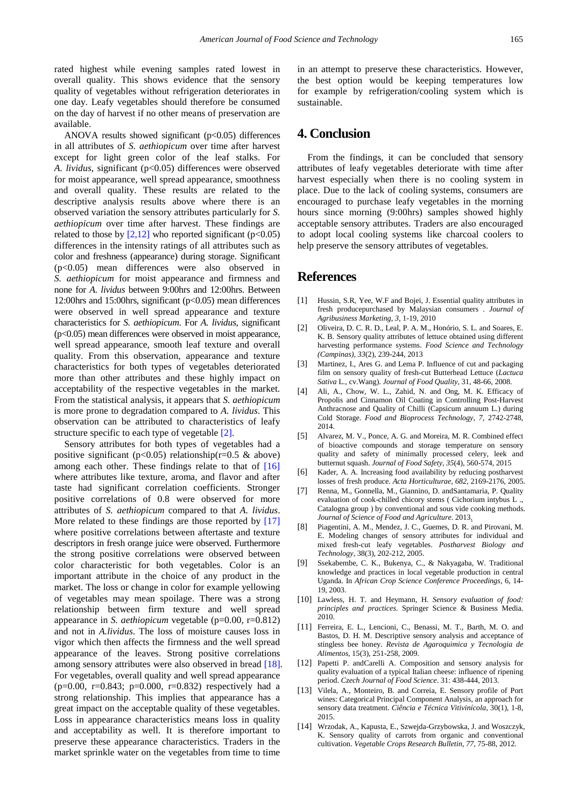rated highest while evening samples rated lowest in overall quality. This shows evidence that the sensory quality of vegetables without refrigeration deteriorates in one day. Leafy vegetables should therefore be consumed on the day of harvest if no other means of preservation are available.

ANOVA results showed significant  $(p<0.05)$  differences in all attributes of *S. aethiopicum* over time after harvest except for light green color of the leaf stalks. For *A. lividus*, significant (p<0.05) differences were observed for moist appearance, well spread appearance, smoothness and overall quality. These results are related to the descriptive analysis results above where there is an observed variation the sensory attributes particularly for *S. aethiopicum* over time after harvest. These findings are related to those by  $[2,12]$  who reported significant (p<0.05) differences in the intensity ratings of all attributes such as color and freshness (appearance) during storage. Significant (p<0.05) mean differences were also observed in *S. aethiopicum* for moist appearance and firmness and none for *A. lividus* between 9:00hrs and 12:00hrs. Between 12:00hrs and 15:00hrs, significant (p<0.05) mean differences were observed in well spread appearance and texture characteristics for *S. aethiopicum*. For *A. lividus*, significant  $(p<0.05)$  mean differences were observed in moist appearance, well spread appearance, smooth leaf texture and overall quality. From this observation, appearance and texture characteristics for both types of vegetables deteriorated more than other attributes and these highly impact on acceptability of the respective vegetables in the market. From the statistical analysis, it appears that *S. aethiopicum* is more prone to degradation compared to *A. lividus*. This observation can be attributed to characteristics of leafy structure specific to each type of vegetable [\[2\].](#page-4-1)

Sensory attributes for both types of vegetables had a positive significant ( $p<0.05$ ) relationship( $r=0.5$  & above) among each other. These findings relate to that of [\[16\]](#page-5-1) where attributes like texture, aroma, and flavor and after taste had significant correlation coefficients. Stronger positive correlations of 0.8 were observed for more attributes of *S. aethiopicum* compared to that *A. lividus*. More related to these findings are those reported by [\[17\]](#page-5-2) where positive correlations between aftertaste and texture descriptors in fresh orange juice were observed. Furthermore the strong positive correlations were observed between color characteristic for both vegetables. Color is an important attribute in the choice of any product in the market. The loss or change in color for example yellowing of vegetables may mean spoilage. There was a strong relationship between firm texture and well spread appearance in *S. aethiopicum* vegetable (p=0.00, r=0.812) and not in *A.lividus*. The loss of moisture causes loss in vigor which then affects the firmness and the well spread appearance of the leaves. Strong positive correlations among sensory attributes were also observed in bread [\[18\].](#page-5-3) For vegetables, overall quality and well spread appearance (p=0.00, r=0.843; p=0.000, r=0.832) respectively had a strong relationship. This implies that appearance has a great impact on the acceptable quality of these vegetables. Loss in appearance characteristics means loss in quality and acceptability as well. It is therefore important to preserve these appearance characteristics. Traders in the market sprinkle water on the vegetables from time to time

in an attempt to preserve these characteristics. However, the best option would be keeping temperatures low for example by refrigeration/cooling system which is sustainable.

# **4. Conclusion**

From the findings, it can be concluded that sensory attributes of leafy vegetables deteriorate with time after harvest especially when there is no cooling system in place. Due to the lack of cooling systems, consumers are encouraged to purchase leafy vegetables in the morning hours since morning (9:00hrs) samples showed highly acceptable sensory attributes. Traders are also encouraged to adopt local cooling systems like charcoal coolers to help preserve the sensory attributes of vegetables.

# **References**

- <span id="page-4-0"></span>[1] Hussin, S.R, Yee, W.F and Bojei, J. Essential quality attributes in fresh producepurchased by Malaysian consumers . *Journal of Agribusiness Marketing*, *3*, 1-19, 2010
- <span id="page-4-1"></span>[2] Oliveira, D. C. R. D., Leal, P. A. M., Honório, S. L. and Soares, E. K. B. Sensory quality attributes of lettuce obtained using different harvesting performance systems. *Food Science and Technology (Campinas)*, *33*(2), 239-244, 2013
- <span id="page-4-2"></span>[3] Martinez, I., Ares G. and Lema P. Influence of cut and packaging film on sensory quality of fresh-cut Butterhead Lettuce (*Lactuca Sativa* L., cv.Wang). *Journal of Food Quality,* 31, 48-66, 2008.
- [4] Ali, A., Chow, W. L., Zahid, N. and Ong, M. K. Efficacy of Propolis and Cinnamon Oil Coating in Controlling Post-Harvest Anthracnose and Quality of Chilli (Capsicum annuum L.) during Cold Storage. *Food and Bioprocess Technology*, *7*, 2742-2748, 2014.
- [5] Alvarez, M. V., Ponce, A. G. and Moreira, M. R. Combined effect of bioactive compounds and storage temperature on sensory quality and safety of minimally processed celery, leek and butternut squash. *Journal of Food Safety*, *35*(4), 560-574, 2015
- <span id="page-4-3"></span>[6] Kader, A. A. Increasing food availability by reducing postharvest losses of fresh produce. *Acta Horticulturae*, *682*, 2169-2176, 2005.
- <span id="page-4-6"></span>[7] Renna, M., Gonnella, M., Giannino, D. andSantamaria, P. Quality evaluation of cook-chilled chicory stems ( Cichorium intybus L ., Catalogna group ) by conventional and sous vide cooking methods. *Journal of Science of Food and Agriculture*. 2013.
- [8] Piagentini, A. M., Mendez, J. C., Guemes, D. R. and Pirovani, M. E. Modeling changes of sensory attributes for individual and mixed fresh-cut leafy vegetables. *Postharvest Biology and Technology*, 38(3), 202-212, 2005.
- <span id="page-4-4"></span>Ssekabembe, C. K., Bukenya, C., & Nakyagaba, W. Traditional knowledge and practices in local vegetable production in central Uganda. In *African Crop Science Conference Proceedings*, 6, 14- 19, 2003.
- <span id="page-4-5"></span>[10] Lawless, H. T. and Heymann, H. *Sensory evaluation of food: principles and practices*. Springer Science & Business Media. 2010.
- <span id="page-4-7"></span>[11] Ferreira, E. L., Lencioni, C., Benassi, M. T., Barth, M. O. and Bastos, D. H. M. Descriptive sensory analysis and acceptance of stingless bee honey. *Revista de Agaroquimica y Tecnologia de Alimentos*, 15(3), 251-258, 2009.
- [12] Papetti P. andCarelli A. Composition and sensory analysis for quality evaluation of a typical Italian cheese: influence of ripening period. *Czech Journal of Food Science*. 31: 438-444, 2013.
- [13] Vilela, A., Monteiro, B. and Correia, E. Sensory profile of Port wines: Categorical Principal Component Analysis, an approach for sensory data treatment. *Ciência e Técnica Vitivinícola*, 30(1), 1-8, 2015.
- [14] Wrzodak, A., Kapusta, E., Szwejda-Grzybowska, J. and Woszczyk, K. Sensory quality of carrots from organic and conventional cultivation. *Vegetable Crops Research Bulletin*, *77*, 75-88, 2012.